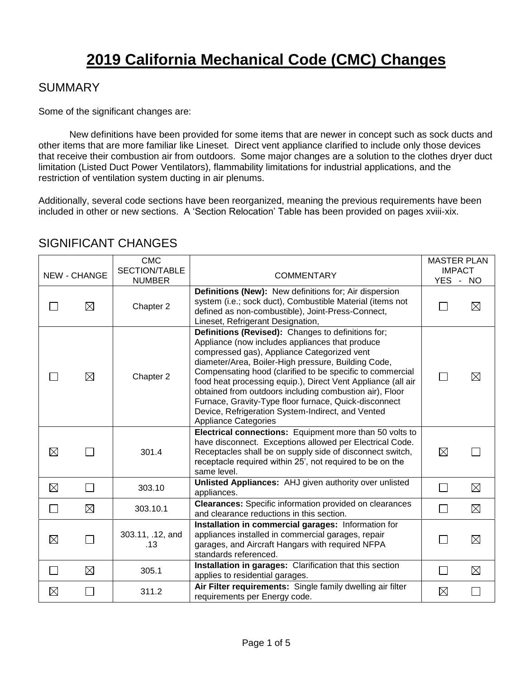# **2019 California Mechanical Code (CMC) Changes**

#### SUMMARY

Some of the significant changes are:

New definitions have been provided for some items that are newer in concept such as sock ducts and other items that are more familiar like Lineset. Direct vent appliance clarified to include only those devices that receive their combustion air from outdoors. Some major changes are a solution to the clothes dryer duct limitation (Listed Duct Power Ventilators), flammability limitations for industrial applications, and the restriction of ventilation system ducting in air plenums.

Additionally, several code sections have been reorganized, meaning the previous requirements have been included in other or new sections. A 'Section Relocation' Table has been provided on pages xviii-xix.

|              | <b>NEW - CHANGE</b>         | <b>CMC</b><br>SECTION/TABLE<br><b>NUMBER</b> | <b>COMMENTARY</b>                                                                                                                                                                                                                                                                                                                                                                                                                                                                                                                                | <b>MASTER PLAN</b><br><b>IMPACT</b><br>YES - NO |             |
|--------------|-----------------------------|----------------------------------------------|--------------------------------------------------------------------------------------------------------------------------------------------------------------------------------------------------------------------------------------------------------------------------------------------------------------------------------------------------------------------------------------------------------------------------------------------------------------------------------------------------------------------------------------------------|-------------------------------------------------|-------------|
|              | $\boxtimes$                 | Chapter 2                                    | Definitions (New): New definitions for; Air dispersion<br>system (i.e.; sock duct), Combustible Material (items not<br>defined as non-combustible), Joint-Press-Connect,<br>Lineset, Refrigerant Designation,                                                                                                                                                                                                                                                                                                                                    |                                                 | $\boxtimes$ |
|              | $\boxtimes$                 | Chapter 2                                    | Definitions (Revised): Changes to definitions for;<br>Appliance (now includes appliances that produce<br>compressed gas), Appliance Categorized vent<br>diameter/Area, Boiler-High pressure, Building Code,<br>Compensating hood (clarified to be specific to commercial<br>food heat processing equip.), Direct Vent Appliance (all air<br>obtained from outdoors including combustion air), Floor<br>Furnace, Gravity-Type floor furnace, Quick-disconnect<br>Device, Refrigeration System-Indirect, and Vented<br><b>Appliance Categories</b> |                                                 | $\bowtie$   |
| $\boxtimes$  | $\mathcal{L}_{\mathcal{A}}$ | 301.4                                        | Electrical connections: Equipment more than 50 volts to<br>have disconnect. Exceptions allowed per Electrical Code.<br>Receptacles shall be on supply side of disconnect switch,<br>receptacle required within 25', not required to be on the<br>same level.                                                                                                                                                                                                                                                                                     | $\boxtimes$                                     |             |
| $\boxtimes$  | $\Box$                      | 303.10                                       | Unlisted Appliances: AHJ given authority over unlisted<br>appliances.                                                                                                                                                                                                                                                                                                                                                                                                                                                                            | $\Box$                                          | $\boxtimes$ |
| П            | $\boxtimes$                 | 303.10.1                                     | <b>Clearances:</b> Specific information provided on clearances<br>and clearance reductions in this section.                                                                                                                                                                                                                                                                                                                                                                                                                                      | $\mathbf{L}$                                    | $\boxtimes$ |
| $\boxtimes$  | $\Box$                      | 303.11, .12, and<br>.13                      | Installation in commercial garages: Information for<br>appliances installed in commercial garages, repair<br>garages, and Aircraft Hangars with required NFPA<br>standards referenced.                                                                                                                                                                                                                                                                                                                                                           |                                                 | $\boxtimes$ |
| $\mathbf{L}$ | $\boxtimes$                 | 305.1                                        | Installation in garages: Clarification that this section<br>applies to residential garages.                                                                                                                                                                                                                                                                                                                                                                                                                                                      | $\mathbf{L}$                                    | $\boxtimes$ |
| $\boxtimes$  | $\mathcal{L}_{\mathcal{A}}$ | 311.2                                        | Air Filter requirements: Single family dwelling air filter<br>requirements per Energy code.                                                                                                                                                                                                                                                                                                                                                                                                                                                      | $\boxtimes$                                     |             |

#### SIGNIFICANT CHANGES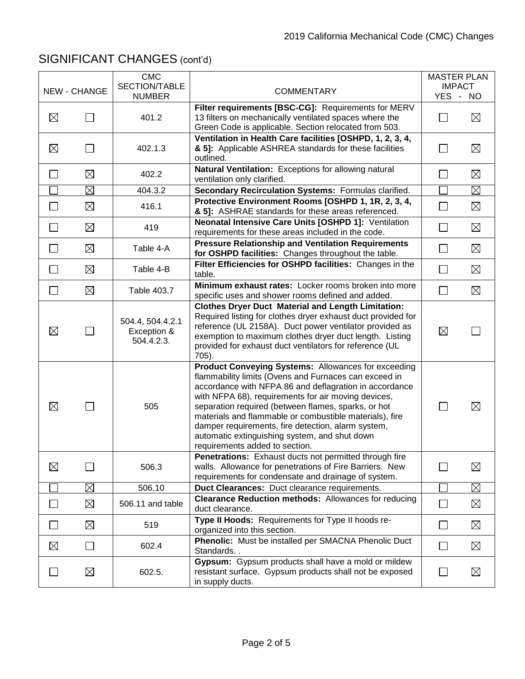|                |                     | <b>CMC</b>                                    |                                                                                                                                                                                                                                                                                                                                                                                                                                                                                          | <b>MASTER PLAN</b>        |             |
|----------------|---------------------|-----------------------------------------------|------------------------------------------------------------------------------------------------------------------------------------------------------------------------------------------------------------------------------------------------------------------------------------------------------------------------------------------------------------------------------------------------------------------------------------------------------------------------------------------|---------------------------|-------------|
|                | <b>NEW - CHANGE</b> | SECTION/TABLE<br><b>NUMBER</b>                | <b>COMMENTARY</b>                                                                                                                                                                                                                                                                                                                                                                                                                                                                        | <b>IMPACT</b><br>YES - NO |             |
| $\boxtimes$    |                     | 401.2                                         | Filter requirements [BSC-CG]: Requirements for MERV<br>13 filters on mechanically ventilated spaces where the<br>Green Code is applicable. Section relocated from 503.                                                                                                                                                                                                                                                                                                                   |                           | $\boxtimes$ |
| $\boxtimes$    |                     | 402.1.3                                       | Ventilation in Health Care facilities [OSHPD, 1, 2, 3, 4,<br>& 5]: Applicable ASHREA standards for these facilities<br>outlined.                                                                                                                                                                                                                                                                                                                                                         |                           | $\boxtimes$ |
| $\Box$         | $\boxtimes$         | 402.2                                         | Natural Ventilation: Exceptions for allowing natural<br>ventilation only clarified.                                                                                                                                                                                                                                                                                                                                                                                                      |                           | $\boxtimes$ |
|                | ⊠                   | 404.3.2                                       | Secondary Recirculation Systems: Formulas clarified.                                                                                                                                                                                                                                                                                                                                                                                                                                     |                           | $\boxtimes$ |
| $\Box$         | ⊠                   | 416.1                                         | Protective Environment Rooms [OSHPD 1, 1R, 2, 3, 4,<br>& 5]: ASHRAE standards for these areas referenced.                                                                                                                                                                                                                                                                                                                                                                                | $\blacksquare$            | $\boxtimes$ |
| $\mathbf{I}$   | ⊠                   | 419                                           | <b>Neonatal Intensive Care Units [OSHPD 1]: Ventilation</b><br>requirements for these areas included in the code.                                                                                                                                                                                                                                                                                                                                                                        | $\mathsf{L}$              | $\boxtimes$ |
|                | ⊠                   | Table 4-A                                     | <b>Pressure Relationship and Ventilation Requirements</b><br>for OSHPD facilities: Changes throughout the table.                                                                                                                                                                                                                                                                                                                                                                         |                           | $\boxtimes$ |
| $\mathbb{R}^n$ | $\boxtimes$         | Table 4-B                                     | Filter Efficiencies for OSHPD facilities: Changes in the<br>table.                                                                                                                                                                                                                                                                                                                                                                                                                       | $\Box$                    | $\boxtimes$ |
| $\Box$         | $\boxtimes$         | Table 403.7                                   | Minimum exhaust rates: Locker rooms broken into more<br>specific uses and shower rooms defined and added.                                                                                                                                                                                                                                                                                                                                                                                | $\Box$                    | $\boxtimes$ |
| $\boxtimes$    | $\Box$              | 504.4, 504.4.2.1<br>Exception &<br>504.4.2.3. | <b>Clothes Dryer Duct Material and Length Limitation:</b><br>Required listing for clothes dryer exhaust duct provided for<br>reference (UL 2158A). Duct power ventilator provided as<br>exemption to maximum clothes dryer duct length. Listing<br>provided for exhaust duct ventilators for reference (UL<br>705).                                                                                                                                                                      | $\boxtimes$               |             |
| $\boxtimes$    |                     | 505                                           | Product Conveying Systems: Allowances for exceeding<br>flammability limits (Ovens and Furnaces can exceed in<br>accordance with NFPA 86 and deflagration in accordance<br>with NFPA 68), requirements for air moving devices,<br>separation required (between flames, sparks, or hot<br>materials and flammable or combustible materials), fire<br>damper requirements, fire detection, alarm system,<br>automatic extinguishing system, and shut down<br>requirements added to section. |                           | $\boxtimes$ |
| $\boxtimes$    |                     | 506.3                                         | Penetrations: Exhaust ducts not permitted through fire<br>walls. Allowance for penetrations of Fire Barriers. New<br>requirements for condensate and drainage of system.                                                                                                                                                                                                                                                                                                                 |                           | $\boxtimes$ |
|                | $\boxtimes$         | 506.10                                        | Duct Clearances: Duct clearance requirements.                                                                                                                                                                                                                                                                                                                                                                                                                                            |                           | $\boxtimes$ |
|                | $\boxtimes$         | 506.11 and table                              | <b>Clearance Reduction methods:</b> Allowances for reducing<br>duct clearance.                                                                                                                                                                                                                                                                                                                                                                                                           |                           | $\boxtimes$ |
| $\mathbb{R}^n$ | ⊠                   | 519                                           | Type II Hoods: Requirements for Type II hoods re-<br>organized into this section.                                                                                                                                                                                                                                                                                                                                                                                                        |                           | $\boxtimes$ |
| $\boxtimes$    | $\vert \ \ \vert$   | 602.4                                         | Phenolic: Must be installed per SMACNA Phenolic Duct<br>Standards                                                                                                                                                                                                                                                                                                                                                                                                                        | $\mathsf{L}$              | $\boxtimes$ |
|                | $\boxtimes$         | 602.5.                                        | Gypsum: Gypsum products shall have a mold or mildew<br>resistant surface. Gypsum products shall not be exposed<br>in supply ducts.                                                                                                                                                                                                                                                                                                                                                       | $\mathbf{L}$              | $\boxtimes$ |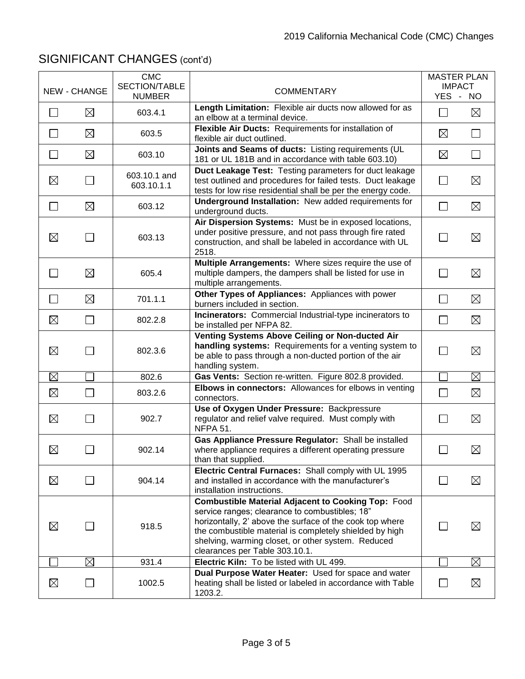|                             | <b>NEW - CHANGE</b> | <b>CMC</b><br>SECTION/TABLE<br><b>NUMBER</b> | <b>COMMENTARY</b>                                                                                                                                                                                                                                                                                                          | <b>MASTER PLAN</b> | <b>IMPACT</b><br>YES - NO |
|-----------------------------|---------------------|----------------------------------------------|----------------------------------------------------------------------------------------------------------------------------------------------------------------------------------------------------------------------------------------------------------------------------------------------------------------------------|--------------------|---------------------------|
|                             | $\boxtimes$         | 603.4.1                                      | Length Limitation: Flexible air ducts now allowed for as<br>an elbow at a terminal device.                                                                                                                                                                                                                                 | П                  | $\boxtimes$               |
| $\sim$                      | $\boxtimes$         | 603.5                                        | Flexible Air Ducts: Requirements for installation of<br>flexible air duct outlined.                                                                                                                                                                                                                                        | $\boxtimes$        | П                         |
| $\Box$                      | $\boxtimes$         | 603.10                                       | Joints and Seams of ducts: Listing requirements (UL<br>181 or UL 181B and in accordance with table 603.10)                                                                                                                                                                                                                 | $\boxtimes$        | $\Box$                    |
| $\boxtimes$                 | $\Box$              | 603.10.1 and<br>603.10.1.1                   | Duct Leakage Test: Testing parameters for duct leakage<br>test outlined and procedures for failed tests. Duct leakage<br>tests for low rise residential shall be per the energy code.                                                                                                                                      | $\mathsf{L}$       | $\boxtimes$               |
| $\mathcal{L}_{\mathcal{A}}$ | $\boxtimes$         | 603.12                                       | <b>Underground Installation: New added requirements for</b><br>underground ducts.                                                                                                                                                                                                                                          | $\Box$             | $\boxtimes$               |
| ⊠                           | $\mathcal{L}$       | 603.13                                       | Air Dispersion Systems: Must be in exposed locations,<br>under positive pressure, and not pass through fire rated<br>construction, and shall be labeled in accordance with UL<br>2518.                                                                                                                                     | <b>Contract</b>    | $\boxtimes$               |
|                             | $\boxtimes$         | 605.4                                        | Multiple Arrangements: Where sizes require the use of<br>multiple dampers, the dampers shall be listed for use in<br>multiple arrangements.                                                                                                                                                                                | <b>Contract</b>    | $\boxtimes$               |
| $\sim$                      | $\boxtimes$         | 701.1.1                                      | Other Types of Appliances: Appliances with power<br>burners included in section.                                                                                                                                                                                                                                           | $\mathsf{L}$       | $\boxtimes$               |
| $\boxtimes$                 | $\mathbf{L}$        | 802.2.8                                      | Incinerators: Commercial Industrial-type incinerators to<br>be installed per NFPA 82.                                                                                                                                                                                                                                      | $\vert \ \ \vert$  | $\boxtimes$               |
| $\boxtimes$                 | $\sim$              | 802.3.6                                      | Venting Systems Above Ceiling or Non-ducted Air<br>handling systems: Requirements for a venting system to<br>be able to pass through a non-ducted portion of the air<br>handling system.                                                                                                                                   |                    | $\boxtimes$               |
| $\boxtimes$                 |                     | 802.6                                        | Gas Vents: Section re-written. Figure 802.8 provided.                                                                                                                                                                                                                                                                      |                    | $\boxtimes$               |
| $\boxtimes$                 | $\mathsf{L}$        | 803.2.6                                      | Elbows in connectors: Allowances for elbows in venting<br>connectors.                                                                                                                                                                                                                                                      | $\vert \ \ \vert$  | $\boxtimes$               |
| $\boxtimes$                 | $\Box$              | 902.7                                        | Use of Oxygen Under Pressure: Backpressure<br>regulator and relief valve required. Must comply with<br><b>NFPA 51.</b>                                                                                                                                                                                                     | <b>Contract</b>    | $\boxtimes$               |
| $\boxtimes$                 | $\sim$              | 902.14                                       | Gas Appliance Pressure Regulator: Shall be installed<br>where appliance requires a different operating pressure<br>than that supplied.                                                                                                                                                                                     |                    | $\boxtimes$               |
| ⊠                           | $\blacksquare$      | 904.14                                       | Electric Central Furnaces: Shall comply with UL 1995<br>and installed in accordance with the manufacturer's<br>installation instructions.                                                                                                                                                                                  |                    | $\boxtimes$               |
| $\boxtimes$                 | $\Box$              | 918.5                                        | <b>Combustible Material Adjacent to Cooking Top: Food</b><br>service ranges; clearance to combustibles; 18"<br>horizontally, 2' above the surface of the cook top where<br>the combustible material is completely shielded by high<br>shelving, warming closet, or other system. Reduced<br>clearances per Table 303.10.1. |                    | $\boxtimes$               |
|                             | $\boxtimes$         | 931.4                                        | Electric Kiln: To be listed with UL 499.                                                                                                                                                                                                                                                                                   |                    | $\boxtimes$               |
| $\boxtimes$                 | $\Box$              | 1002.5                                       | Dual Purpose Water Heater: Used for space and water<br>heating shall be listed or labeled in accordance with Table<br>1203.2.                                                                                                                                                                                              | $\Box$             | $\boxtimes$               |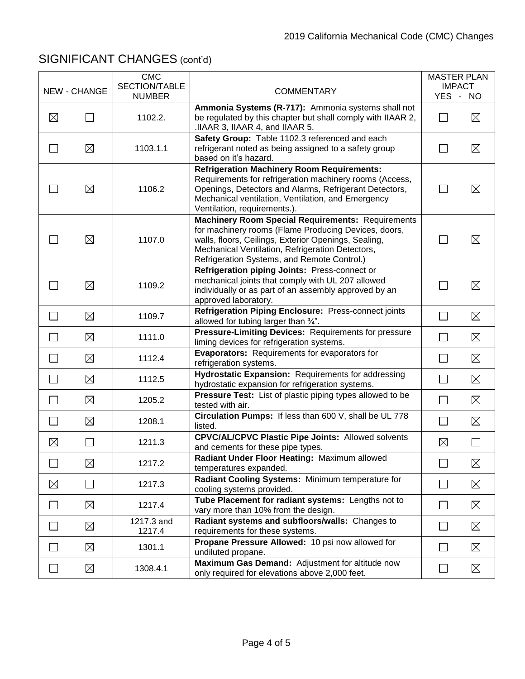|                             | <b>NEW - CHANGE</b>         | <b>CMC</b><br>SECTION/TABLE | <b>COMMENTARY</b>                                                                                                                                                                                                                                                           | <b>MASTER PLAN</b><br><b>IMPACT</b> |                             |
|-----------------------------|-----------------------------|-----------------------------|-----------------------------------------------------------------------------------------------------------------------------------------------------------------------------------------------------------------------------------------------------------------------------|-------------------------------------|-----------------------------|
|                             |                             | <b>NUMBER</b>               |                                                                                                                                                                                                                                                                             | YES - NO                            |                             |
| $\boxtimes$                 |                             | 1102.2.                     | Ammonia Systems (R-717): Ammonia systems shall not<br>be regulated by this chapter but shall comply with IIAAR 2,<br>.IIAAR 3, IIAAR 4, and IIAAR 5.                                                                                                                        |                                     | $\boxtimes$                 |
|                             | $\boxtimes$                 | 1103.1.1                    | Safety Group: Table 1102.3 referenced and each<br>refrigerant noted as being assigned to a safety group<br>based on it's hazard.                                                                                                                                            |                                     | $\boxtimes$                 |
|                             | ⊠                           | 1106.2                      | <b>Refrigeration Machinery Room Requirements:</b><br>Requirements for refrigeration machinery rooms (Access,<br>Openings, Detectors and Alarms, Refrigerant Detectors,<br>Mechanical ventilation, Ventilation, and Emergency<br>Ventilation, requirements.).                | $\mathcal{L}$                       | $\boxtimes$                 |
|                             | $\boxtimes$                 | 1107.0                      | <b>Machinery Room Special Requirements: Requirements</b><br>for machinery rooms (Flame Producing Devices, doors,<br>walls, floors, Ceilings, Exterior Openings, Sealing,<br>Mechanical Ventilation, Refrigeration Detectors,<br>Refrigeration Systems, and Remote Control.) |                                     | $\boxtimes$                 |
|                             | $\boxtimes$                 | 1109.2                      | Refrigeration piping Joints: Press-connect or<br>mechanical joints that comply with UL 207 allowed<br>individually or as part of an assembly approved by an<br>approved laboratory.                                                                                         | $\Box$                              | $\boxtimes$                 |
| $\overline{\phantom{a}}$    | $\boxtimes$                 | 1109.7                      | Refrigeration Piping Enclosure: Press-connect joints<br>allowed for tubing larger than 3/4".                                                                                                                                                                                | $\Box$                              | $\boxtimes$                 |
| $\Box$                      | ⊠                           | 1111.0                      | Pressure-Limiting Devices: Requirements for pressure<br>liming devices for refrigeration systems.                                                                                                                                                                           | $\Box$                              | $\boxtimes$                 |
| $\mathcal{L}_{\mathcal{A}}$ | $\boxtimes$                 | 1112.4                      | Evaporators: Requirements for evaporators for<br>refrigeration systems.                                                                                                                                                                                                     | $\Box$                              | $\boxtimes$                 |
| $\overline{\phantom{a}}$    | $\boxtimes$                 | 1112.5                      | Hydrostatic Expansion: Requirements for addressing<br>hydrostatic expansion for refrigeration systems.                                                                                                                                                                      | $\Box$                              | $\boxtimes$                 |
| $\mathcal{L}_{\mathcal{A}}$ | $\boxtimes$                 | 1205.2                      | <b>Pressure Test:</b> List of plastic piping types allowed to be<br>tested with air.                                                                                                                                                                                        | $\Box$                              | $\boxtimes$                 |
|                             | $\boxtimes$                 | 1208.1                      | Circulation Pumps: If less than 600 V, shall be UL 778<br>listed.                                                                                                                                                                                                           | $\Box$                              | $\boxtimes$                 |
| $\boxtimes$                 | $\mathcal{L}_{\mathcal{A}}$ | 1211.3                      | <b>CPVC/AL/CPVC Plastic Pipe Joints: Allowed solvents</b><br>and cements for these pipe types.                                                                                                                                                                              | $\boxtimes$                         | $\mathcal{L}_{\mathcal{A}}$ |
| ┓                           | ⊠                           | 1217.2                      | Radiant Under Floor Heating: Maximum allowed<br>temperatures expanded.                                                                                                                                                                                                      | $\Box$                              | $\boxtimes$                 |
| $\boxtimes$                 | $\Box$                      | 1217.3                      | Radiant Cooling Systems: Minimum temperature for<br>cooling systems provided.                                                                                                                                                                                               | $\Box$                              | $\boxtimes$                 |
| $\Box$                      | $\boxtimes$                 | 1217.4                      | Tube Placement for radiant systems: Lengths not to<br>vary more than 10% from the design.                                                                                                                                                                                   | $\Box$                              | $\boxtimes$                 |
| $\Box$                      | $\boxtimes$                 | 1217.3 and<br>1217.4        | Radiant systems and subfloors/walls: Changes to<br>requirements for these systems.                                                                                                                                                                                          | $\Box$                              | $\boxtimes$                 |
|                             | $\boxtimes$                 | 1301.1                      | Propane Pressure Allowed: 10 psi now allowed for<br>undiluted propane.                                                                                                                                                                                                      | $\mathsf{L}$                        | $\boxtimes$                 |
|                             | $\boxtimes$                 | 1308.4.1                    | Maximum Gas Demand: Adjustment for altitude now<br>only required for elevations above 2,000 feet.                                                                                                                                                                           | $\Box$                              | $\boxtimes$                 |